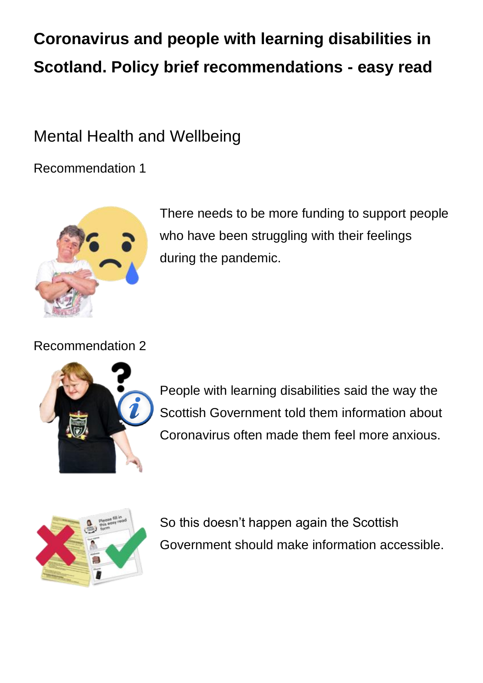# **Coronavirus and people with learning disabilities in Scotland. Policy brief recommendations - easy read**

### Mental Health and Wellbeing

Recommendation 1



There needs to be more funding to support people who have been struggling with their feelings during the pandemic.

Recommendation 2



People with learning disabilities said the way the Scottish Government told them information about Coronavirus often made them feel more anxious.



So this doesn't happen again the Scottish Government should make information accessible.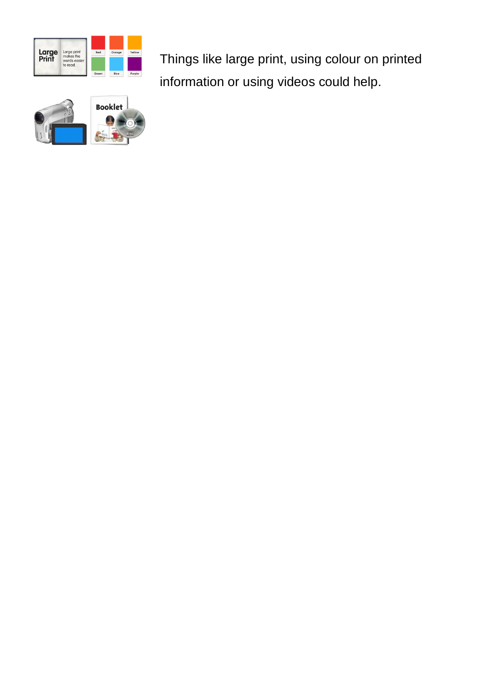

Things like large print, using colour on printed information or using videos could help.

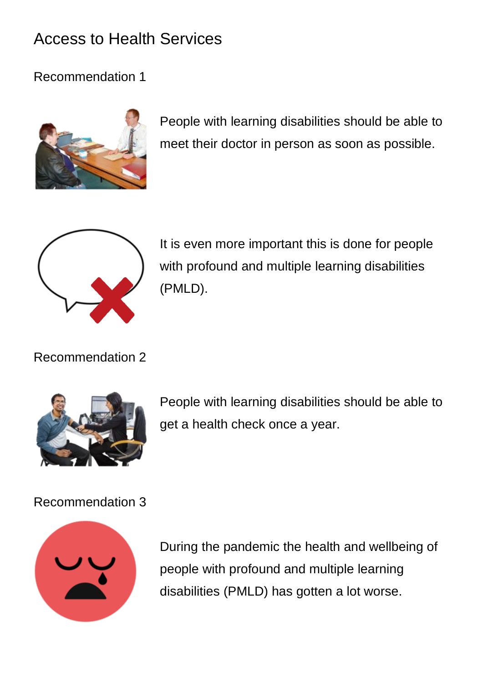### Access to Health Services

Recommendation 1



People with learning disabilities should be able to meet their doctor in person as soon as possible.



It is even more important this is done for people with profound and multiple learning disabilities (PMLD).

Recommendation 2



People with learning disabilities should be able to get a health check once a year.

Recommendation 3



During the pandemic the health and wellbeing of people with profound and multiple learning disabilities (PMLD) has gotten a lot worse.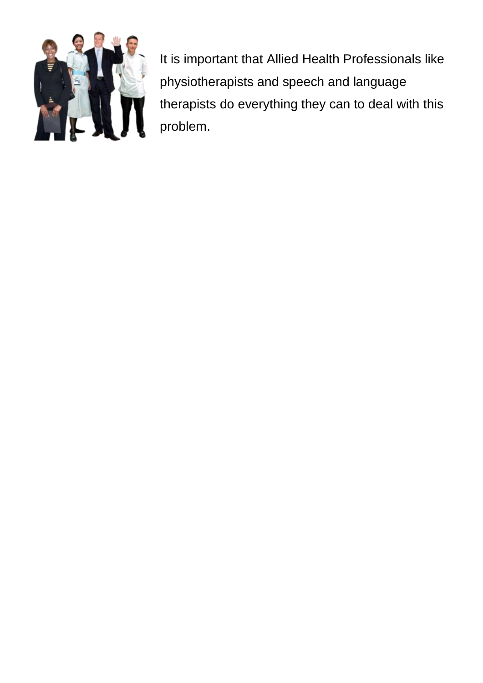

It is important that Allied Health Professionals like physiotherapists and speech and language therapists do everything they can to deal with this problem.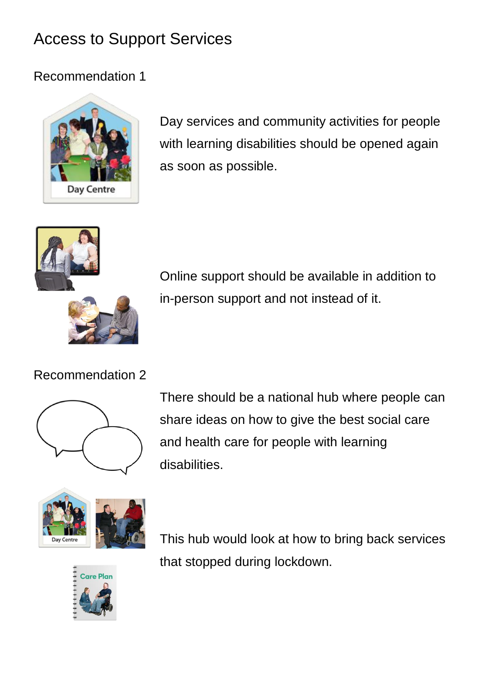## Access to Support Services

#### Recommendation 1



Day services and community activities for people with learning disabilities should be opened again as soon as possible.



Online support should be available in addition to in-person support and not instead of it.

#### Recommendation 2



There should be a national hub where people can share ideas on how to give the best social care and health care for people with learning disabilities.





This hub would look at how to bring back services that stopped during lockdown.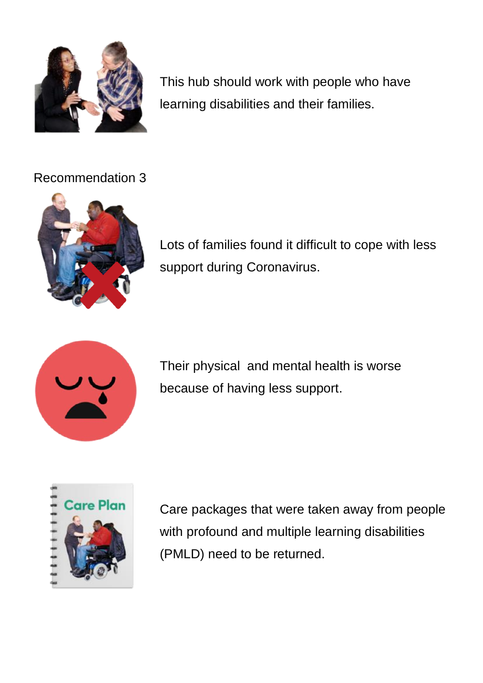

This hub should work with people who have learning disabilities and their families.

#### Recommendation 3



Lots of families found it difficult to cope with less support during Coronavirus.



Their physical and mental health is worse because of having less support.



Care packages that were taken away from people with profound and multiple learning disabilities (PMLD) need to be returned.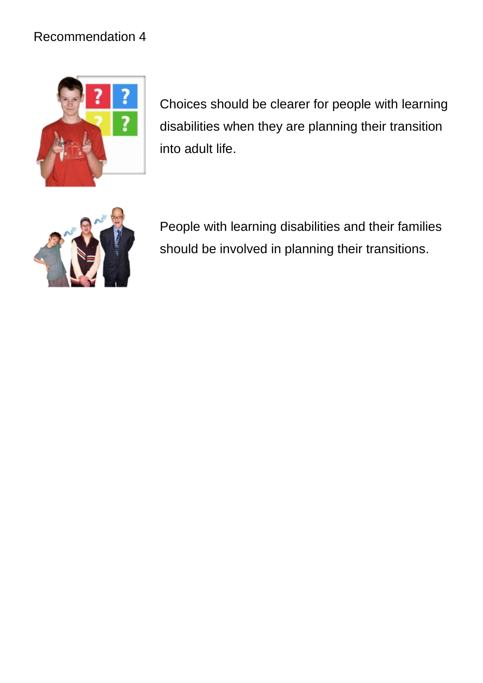#### Recommendation 4



Choices should be clearer for people with learning disabilities when they are planning their transition into adult life.



People with learning disabilities and their families should be involved in planning their transitions.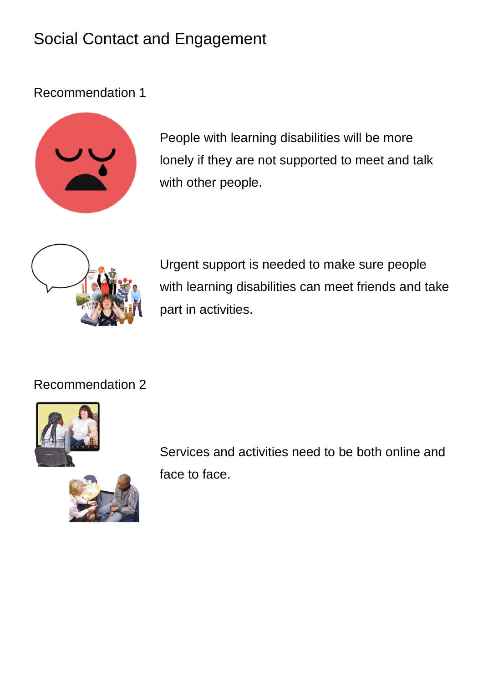## Social Contact and Engagement

Recommendation 1



People with learning disabilities will be more lonely if they are not supported to meet and talk with other people.



Urgent support is needed to make sure people with learning disabilities can meet friends and take part in activities.

Recommendation 2





Services and activities need to be both online and face to face.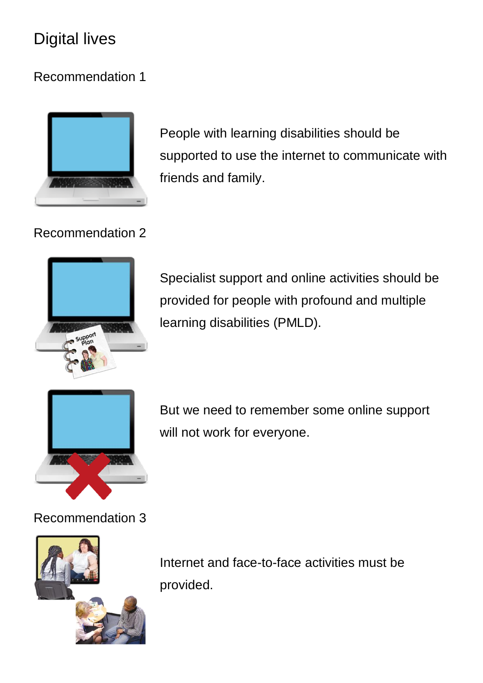### Digital lives

### Recommendation 1



People with learning disabilities should be supported to use the internet to communicate with friends and family.

#### Recommendation 2



Specialist support and online activities should be provided for people with profound and multiple learning disabilities (PMLD).



But we need to remember some online support will not work for everyone.

#### Recommendation 3



Internet and face-to-face activities must be provided.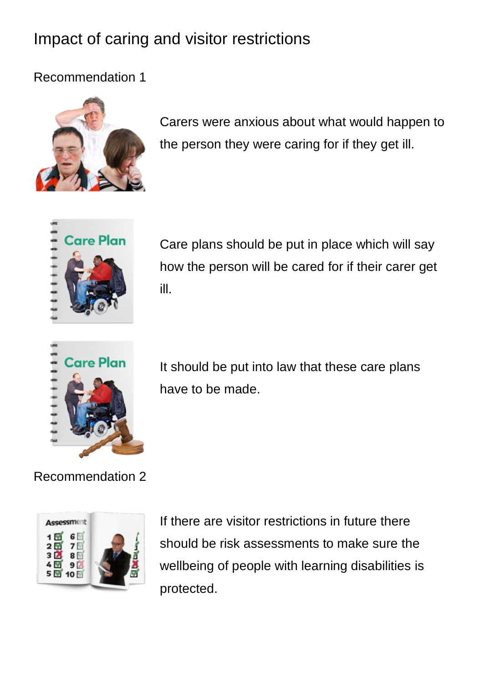## Impact of caring and visitor restrictions

Recommendation 1



Carers were anxious about what would happen to the person they were caring for if they get ill.



Care plans should be put in place which will say how the person will be cared for if their carer get ill.



It should be put into law that these care plans have to be made.

Recommendation 2



If there are visitor restrictions in future there should be risk assessments to make sure the wellbeing of people with learning disabilities is protected.